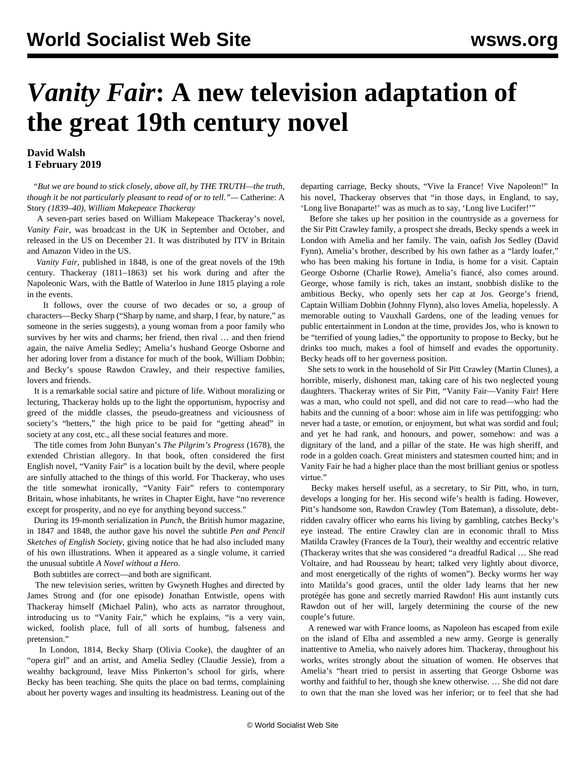## *Vanity Fair***: A new television adaptation of the great 19th century novel**

## **David Walsh 1 February 2019**

 *"But we are bound to stick closely, above all, by THE TRUTH—the truth, though it be not particularly pleasant to read of or to tell."—* Catherine: A Story *(1839–40), William Makepeace Thackeray*

 A seven-part series based on William Makepeace Thackeray's novel, *Vanity Fair*, was broadcast in the UK in September and October, and released in the US on December 21. It was distributed by ITV in Britain and Amazon Video in the US.

 *Vanity Fair*, published in 1848, is one of the great novels of the 19th century. Thackeray (1811–1863) set his work during and after the Napoleonic Wars, with the Battle of Waterloo in June 1815 playing a role in the events.

 It follows, over the course of two decades or so, a group of characters—Becky Sharp ("Sharp by name, and sharp, I fear, by nature," as someone in the series suggests), a young woman from a poor family who survives by her wits and charms; her friend, then rival … and then friend again, the naïve Amelia Sedley; Amelia's husband George Osborne and her adoring lover from a distance for much of the book, William Dobbin; and Becky's spouse Rawdon Crawley, and their respective families, lovers and friends.

 It is a remarkable social satire and picture of life. Without moralizing or lecturing, Thackeray holds up to the light the opportunism, hypocrisy and greed of the middle classes, the pseudo-greatness and viciousness of society's "betters," the high price to be paid for "getting ahead" in society at any cost, etc., all these social features and more.

 The title comes from John Bunyan's *The Pilgrim's Progress* (1678), the extended Christian allegory. In that book, often considered the first English novel, "Vanity Fair" is a location built by the devil, where people are sinfully attached to the things of this world. For Thackeray, who uses the title somewhat ironically, "Vanity Fair" refers to contemporary Britain, whose inhabitants, he writes in Chapter Eight, have "no reverence except for prosperity, and no eye for anything beyond success."

 During its 19-month serialization in *Punch*, the British humor magazine, in 1847 and 1848, the author gave his novel the subtitle *Pen and Pencil Sketches of English Society*, giving notice that he had also included many of his own illustrations. When it appeared as a single volume, it carried the unusual subtitle *A Novel without a Hero*.

Both subtitles are correct—and both are significant.

 The new television series, written by Gwyneth Hughes and directed by James Strong and (for one episode) Jonathan Entwistle, opens with Thackeray himself (Michael Palin), who acts as narrator throughout, introducing us to "Vanity Fair," which he explains, "is a very vain, wicked, foolish place, full of all sorts of humbug, falseness and pretension."

 In London, 1814, Becky Sharp (Olivia Cooke), the daughter of an "opera girl" and an artist, and Amelia Sedley (Claudie Jessie), from a wealthy background, leave Miss Pinkerton's school for girls, where Becky has been teaching. She quits the place on bad terms, complaining about her poverty wages and insulting its headmistress. Leaning out of the departing carriage, Becky shouts, "Vive la France! Vive Napoleon!" In his novel, Thackeray observes that "in those days, in England, to say, 'Long live Bonaparte!' was as much as to say, 'Long live Lucifer!'"

 Before she takes up her position in the countryside as a governess for the Sir Pitt Crawley family, a prospect she dreads, Becky spends a week in London with Amelia and her family. The vain, oafish Jos Sedley (David Fynn), Amelia's brother, described by his own father as a "lardy loafer," who has been making his fortune in India, is home for a visit. Captain George Osborne (Charlie Rowe), Amelia's fiancé, also comes around. George, whose family is rich, takes an instant, snobbish dislike to the ambitious Becky, who openly sets her cap at Jos. George's friend, Captain William Dobbin (Johnny Flynn), also loves Amelia, hopelessly. A memorable outing to Vauxhall Gardens, one of the leading venues for public entertainment in London at the time, provides Jos, who is known to be "terrified of young ladies," the opportunity to propose to Becky, but he drinks too much, makes a fool of himself and evades the opportunity. Becky heads off to her governess position.

 She sets to work in the household of Sir Pitt Crawley (Martin Clunes), a horrible, miserly, dishonest man, taking care of his two neglected young daughters. Thackeray writes of Sir Pitt, "Vanity Fair—Vanity Fair! Here was a man, who could not spell, and did not care to read—who had the habits and the cunning of a boor: whose aim in life was pettifogging: who never had a taste, or emotion, or enjoyment, but what was sordid and foul; and yet he had rank, and honours, and power, somehow: and was a dignitary of the land, and a pillar of the state. He was high sheriff, and rode in a golden coach. Great ministers and statesmen courted him; and in Vanity Fair he had a higher place than the most brilliant genius or spotless virtue."

 Becky makes herself useful, as a secretary, to Sir Pitt, who, in turn, develops a longing for her. His second wife's health is fading. However, Pitt's handsome son, Rawdon Crawley (Tom Bateman), a dissolute, debtridden cavalry officer who earns his living by gambling, catches Becky's eye instead. The entire Crawley clan are in economic thrall to Miss Matilda Crawley (Frances de la Tour), their wealthy and eccentric relative (Thackeray writes that she was considered "a dreadful Radical … She read Voltaire, and had Rousseau by heart; talked very lightly about divorce, and most energetically of the rights of women"). Becky worms her way into Matilda's good graces, until the older lady learns that her new protégée has gone and secretly married Rawdon! His aunt instantly cuts Rawdon out of her will, largely determining the course of the new couple's future.

 A renewed war with France looms, as Napoleon has escaped from exile on the island of Elba and assembled a new army. George is generally inattentive to Amelia, who naively adores him. Thackeray, throughout his works, writes strongly about the situation of women. He observes that Amelia's "heart tried to persist in asserting that George Osborne was worthy and faithful to her, though she knew otherwise. … She did not dare to own that the man she loved was her inferior; or to feel that she had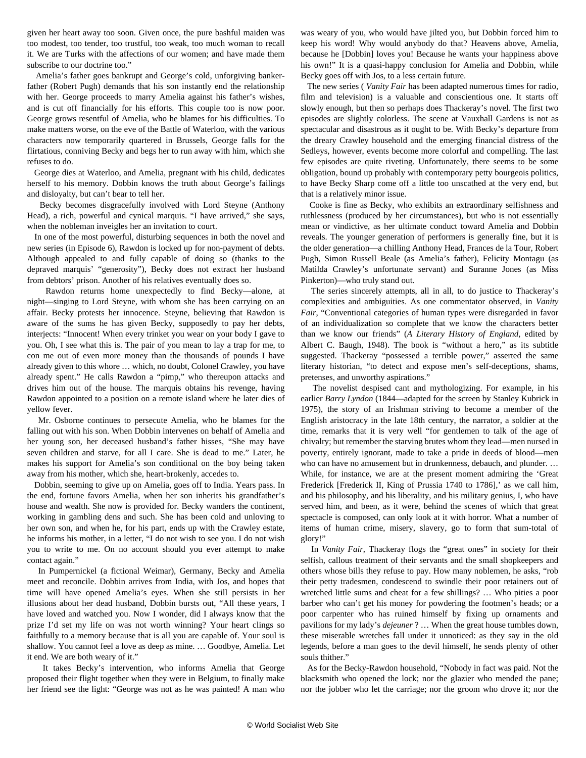given her heart away too soon. Given once, the pure bashful maiden was too modest, too tender, too trustful, too weak, too much woman to recall it. We are Turks with the affections of our women; and have made them subscribe to our doctrine too."

 Amelia's father goes bankrupt and George's cold, unforgiving bankerfather (Robert Pugh) demands that his son instantly end the relationship with her. George proceeds to marry Amelia against his father's wishes, and is cut off financially for his efforts. This couple too is now poor. George grows resentful of Amelia, who he blames for his difficulties. To make matters worse, on the eve of the Battle of Waterloo, with the various characters now temporarily quartered in Brussels, George falls for the flirtatious, conniving Becky and begs her to run away with him, which she refuses to do.

 George dies at Waterloo, and Amelia, pregnant with his child, dedicates herself to his memory. Dobbin knows the truth about George's failings and disloyalty, but can't bear to tell her.

 Becky becomes disgracefully involved with Lord Steyne (Anthony Head), a rich, powerful and cynical marquis. "I have arrived," she says, when the nobleman inveigles her an invitation to court.

 In one of the most powerful, disturbing sequences in both the novel and new series (in Episode 6), Rawdon is locked up for non-payment of debts. Although appealed to and fully capable of doing so (thanks to the depraved marquis' "generosity"), Becky does not extract her husband from debtors' prison. Another of his relatives eventually does so.

 Rawdon returns home unexpectedly to find Becky—alone, at night—singing to Lord Steyne, with whom she has been carrying on an affair. Becky protests her innocence. Steyne, believing that Rawdon is aware of the sums he has given Becky, supposedly to pay her debts, interjects: "Innocent! When every trinket you wear on your body I gave to you. Oh, I see what this is. The pair of you mean to lay a trap for me, to con me out of even more money than the thousands of pounds I have already given to this whore … which, no doubt, Colonel Crawley, you have already spent." He calls Rawdon a "pimp," who thereupon attacks and drives him out of the house. The marquis obtains his revenge, having Rawdon appointed to a position on a remote island where he later dies of yellow fever.

 Mr. Osborne continues to persecute Amelia, who he blames for the falling out with his son. When Dobbin intervenes on behalf of Amelia and her young son, her deceased husband's father hisses, "She may have seven children and starve, for all I care. She is dead to me." Later, he makes his support for Amelia's son conditional on the boy being taken away from his mother, which she, heart-brokenly, accedes to.

 Dobbin, seeming to give up on Amelia, goes off to India. Years pass. In the end, fortune favors Amelia, when her son inherits his grandfather's house and wealth. She now is provided for. Becky wanders the continent, working in gambling dens and such. She has been cold and unloving to her own son, and when he, for his part, ends up with the Crawley estate, he informs his mother, in a letter, "I do not wish to see you. I do not wish you to write to me. On no account should you ever attempt to make contact again."

 In Pumpernickel (a fictional Weimar), Germany, Becky and Amelia meet and reconcile. Dobbin arrives from India, with Jos, and hopes that time will have opened Amelia's eyes. When she still persists in her illusions about her dead husband, Dobbin bursts out, "All these years, I have loved and watched you. Now I wonder, did I always know that the prize I'd set my life on was not worth winning? Your heart clings so faithfully to a memory because that is all you are capable of. Your soul is shallow. You cannot feel a love as deep as mine. … Goodbye, Amelia. Let it end. We are both weary of it."

 It takes Becky's intervention, who informs Amelia that George proposed their flight together when they were in Belgium, to finally make her friend see the light: "George was not as he was painted! A man who was weary of you, who would have jilted you, but Dobbin forced him to keep his word! Why would anybody do that? Heavens above, Amelia, because he [Dobbin] loves you! Because he wants your happiness above his own!" It is a quasi-happy conclusion for Amelia and Dobbin, while Becky goes off with Jos, to a less certain future.

 The new series ( *Vanity Fair* has been adapted numerous times for radio, film and television) is a valuable and conscientious one. It starts off slowly enough, but then so perhaps does Thackeray's novel. The first two episodes are slightly colorless. The scene at Vauxhall Gardens is not as spectacular and disastrous as it ought to be. With Becky's departure from the dreary Crawley household and the emerging financial distress of the Sedleys, however, events become more colorful and compelling. The last few episodes are quite riveting. Unfortunately, there seems to be some obligation, bound up probably with contemporary petty bourgeois politics, to have Becky Sharp come off a little too unscathed at the very end, but that is a relatively minor issue.

 Cooke is fine as Becky, who exhibits an extraordinary selfishness and ruthlessness (produced by her circumstances), but who is not essentially mean or vindictive, as her ultimate conduct toward Amelia and Dobbin reveals. The younger generation of performers is generally fine, but it is the older generation—a chilling Anthony Head, Frances de la Tour, Robert Pugh, Simon Russell Beale (as Amelia's father), Felicity Montagu (as Matilda Crawley's unfortunate servant) and Suranne Jones (as Miss Pinkerton)—who truly stand out.

 The series sincerely attempts, all in all, to do justice to Thackeray's complexities and ambiguities. As one commentator observed, in *Vanity Fair*, "Conventional categories of human types were disregarded in favor of an individualization so complete that we know the characters better than we know our friends" (*A Literary History of England*, edited by Albert C. Baugh, 1948). The book is "without a hero," as its subtitle suggested. Thackeray "possessed a terrible power," asserted the same literary historian, "to detect and expose men's self-deceptions, shams, pretenses, and unworthy aspirations."

 The novelist despised cant and mythologizing. For example, in his earlier *Barry Lyndon* (1844—adapted for the screen by Stanley Kubrick in 1975), the story of an Irishman striving to become a member of the English aristocracy in the late 18th century, the narrator, a soldier at the time, remarks that it is very well "for gentlemen to talk of the age of chivalry; but remember the starving brutes whom they lead—men nursed in poverty, entirely ignorant, made to take a pride in deeds of blood—men who can have no amusement but in drunkenness, debauch, and plunder. … While, for instance, we are at the present moment admiring the 'Great Frederick [Frederick II, King of Prussia 1740 to 1786],' as we call him, and his philosophy, and his liberality, and his military genius, I, who have served him, and been, as it were, behind the scenes of which that great spectacle is composed, can only look at it with horror. What a number of items of human crime, misery, slavery, go to form that sum-total of glory!"

 In *Vanity Fair*, Thackeray flogs the "great ones" in society for their selfish, callous treatment of their servants and the small shopkeepers and others whose bills they refuse to pay. How many noblemen, he asks, "rob their petty tradesmen, condescend to swindle their poor retainers out of wretched little sums and cheat for a few shillings? … Who pities a poor barber who can't get his money for powdering the footmen's heads; or a poor carpenter who has ruined himself by fixing up ornaments and pavilions for my lady's *dejeuner* ? … When the great house tumbles down, these miserable wretches fall under it unnoticed: as they say in the old legends, before a man goes to the devil himself, he sends plenty of other souls thither."

 As for the Becky-Rawdon household, "Nobody in fact was paid. Not the blacksmith who opened the lock; nor the glazier who mended the pane; nor the jobber who let the carriage; nor the groom who drove it; nor the